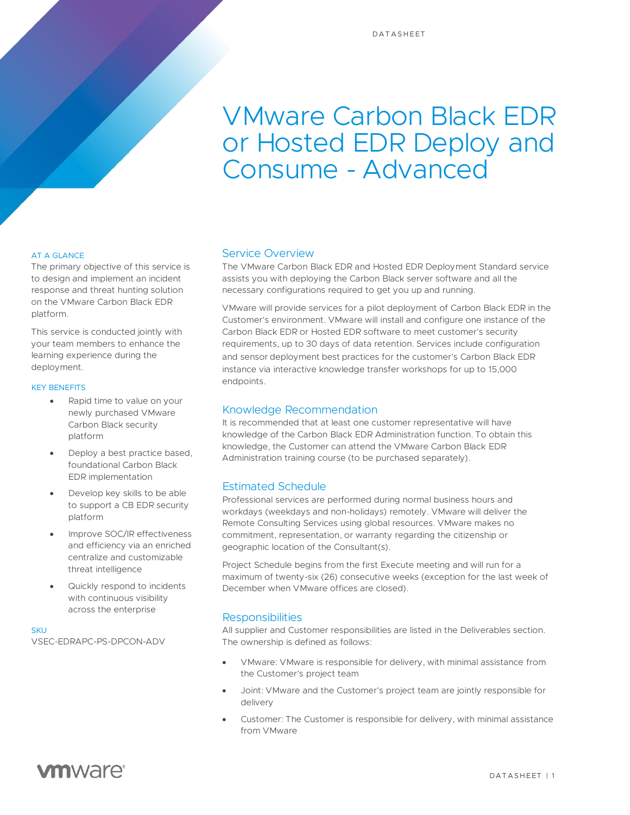# VMware Carbon Black EDR or Hosted EDR Deploy and Consume - Advanced

### AT A GLANCE

The primary objective of this service is to design and implement an incident response and threat hunting solution on the VMware Carbon Black EDR platform.

This service is conducted jointly with your team members to enhance the learning experience during the deployment.

#### KEY BENEFITS

- Rapid time to value on your newly purchased VMware Carbon Black security platform
- Deploy a best practice based, foundational Carbon Black EDR implementation
- Develop key skills to be able to support a CB EDR security platform
- Improve SOC/IR effectiveness and efficiency via an enriched centralize and customizable threat intelligence
- Quickly respond to incidents with continuous visibility across the enterprise

SKUT VSEC-EDRAPC-PS-DPCON-ADV

### Service Overview

The VMware Carbon Black EDR and Hosted EDR Deployment Standard service assists you with deploying the Carbon Black server software and all the necessary configurations required to get you up and running.

VMware will provide services for a pilot deployment of Carbon Black EDR in the Customer's environment. VMware will install and configure one instance of the Carbon Black EDR or Hosted EDR software to meet customer's security requirements, up to 30 days of data retention. Services include configuration and sensor deployment best practices for the customer's Carbon Black EDR instance via interactive knowledge transfer workshops for up to 15,000 endpoints.

# Knowledge Recommendation

It is recommended that at least one customer representative will have knowledge of the Carbon Black EDR Administration function. To obtain this knowledge, the Customer can attend the VMware Carbon Black EDR Administration training course (to be purchased separately).

# Estimated Schedule

Professional services are performed during normal business hours and workdays (weekdays and non-holidays) remotely. VMware will deliver the Remote Consulting Services using global resources. VMware makes no commitment, representation, or warranty regarding the citizenship or geographic location of the Consultant(s).

Project Schedule begins from the first Execute meeting and will run for a maximum of twenty-six (26) consecutive weeks (exception for the last week of December when VMware offices are closed).

# **Responsibilities**

All supplier and Customer responsibilities are listed in the Deliverables section. The ownership is defined as follows:

- VMware: VMware is responsible for delivery, with minimal assistance from the Customer's project team
- Joint: VMware and the Customer's project team are jointly responsible for delivery
- Customer: The Customer is responsible for delivery, with minimal assistance from VMware

# **vm**ware<sup>®</sup>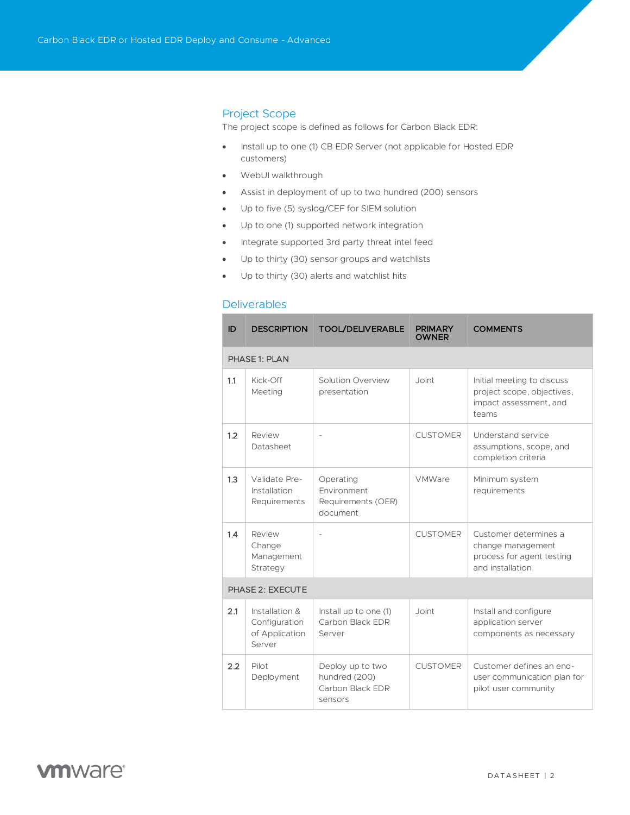# Project Scope

The project scope is defined as follows for Carbon Black EDR:

- Install up to one (1) CB EDR Server (not applicable for Hosted EDR customers)
- WebUI walkthrough
- Assist in deployment of up to two hundred (200) sensors
- Up to five (5) syslog/CEF for SIEM solution
- Up to one (1) supported network integration
- Integrate supported 3rd party threat intel feed
- Up to thirty (30) sensor groups and watchlists
- Up to thirty (30) alerts and watchlist hits

#### **Deliverables**

| ID               | <b>DESCRIPTION</b>                                          | <b>TOOL/DELIVERABLE</b>                                          | <b>PRIMARY</b><br><b>OWNER</b> | <b>COMMENTS</b>                                                                             |  |  |  |
|------------------|-------------------------------------------------------------|------------------------------------------------------------------|--------------------------------|---------------------------------------------------------------------------------------------|--|--|--|
| PHASE 1: PLAN    |                                                             |                                                                  |                                |                                                                                             |  |  |  |
| 1.1              | $Kick$ -Off<br>Meeting                                      | Solution Overview<br>presentation                                | Joint                          | Initial meeting to discuss<br>project scope, objectives,<br>impact assessment, and<br>teams |  |  |  |
| 1.2              | Review<br>Datasheet                                         |                                                                  | <b>CUSTOMER</b>                | Understand service<br>assumptions, scope, and<br>completion criteria                        |  |  |  |
| 1.3              | Validate Pre-<br>Installation<br>Requirements               | Operating<br>Environment<br>Requirements (OER)<br>document       | VMWare                         | Minimum system<br>requirements                                                              |  |  |  |
| 1.4              | Review<br>Change<br>Management<br>Strategy                  |                                                                  | <b>CUSTOMER</b>                | Customer determines a<br>change management<br>process for agent testing<br>and installation |  |  |  |
| PHASE 2: EXECUTE |                                                             |                                                                  |                                |                                                                                             |  |  |  |
| 2.1              | Installation &<br>Configuration<br>of Application<br>Server | Install up to one (1)<br>Carbon Black EDR<br>Server              | Joint                          | Install and configure<br>application server<br>components as necessary                      |  |  |  |
| 2.2              | Pilot<br>Deployment                                         | Deploy up to two<br>hundred (200)<br>Carbon Black EDR<br>sensors | <b>CUSTOMER</b>                | Customer defines an end-<br>user communication plan for<br>pilot user community             |  |  |  |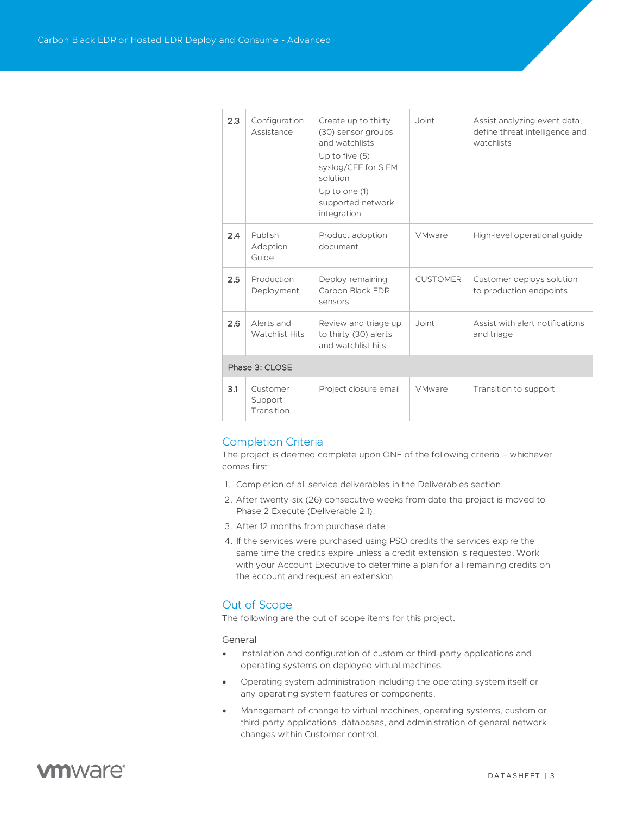| 2.3            | Configuration<br>Assistance         | Create up to thirty<br>(30) sensor groups<br>and watchlists<br>Up to five $(5)$<br>syslog/CEF for SIEM<br>solution<br>Up to one (1)<br>supported network<br>integration | Joint           | Assist analyzing event data,<br>define threat intelligence and<br>watchlists |  |  |  |
|----------------|-------------------------------------|-------------------------------------------------------------------------------------------------------------------------------------------------------------------------|-----------------|------------------------------------------------------------------------------|--|--|--|
| 2.4            | Publish<br>Adoption<br>Guide        | Product adoption<br>document                                                                                                                                            | <b>VMware</b>   | High-level operational quide                                                 |  |  |  |
| 2.5            | Production<br>Deployment            | Deploy remaining<br>Carbon Black EDR<br>sensors                                                                                                                         | <b>CUSTOMER</b> | Customer deploys solution<br>to production endpoints                         |  |  |  |
| 2.6            | Alerts and<br><b>Watchlist Hits</b> | Review and triage up<br>to thirty (30) alerts<br>and watchlist hits                                                                                                     | Joint           | Assist with alert notifications<br>and triage                                |  |  |  |
| Phase 3: CLOSE |                                     |                                                                                                                                                                         |                 |                                                                              |  |  |  |
| 3.1            | Customer<br>Support<br>Transition   | Project closure email                                                                                                                                                   | <b>VMware</b>   | Transition to support                                                        |  |  |  |

# Completion Criteria

The project is deemed complete upon ONE of the following criteria – whichever comes first:

- 1. Completion of all service deliverables in the Deliverables section.
- 2. After twenty-six (26) consecutive weeks from date the project is moved to Phase 2 Execute (Deliverable 2.1).
- 3. After 12 months from purchase date
- 4. If the services were purchased using PSO credits the services expire the same time the credits expire unless a credit extension is requested. Work with your Account Executive to determine a plan for all remaining credits on the account and request an extension*.*

# Out of Scope

The following are the out of scope items for this project.

General

- Installation and configuration of custom or third-party applications and operating systems on deployed virtual machines.
- Operating system administration including the operating system itself or any operating system features or components.
- Management of change to virtual machines, operating systems, custom or third-party applications, databases, and administration of general network changes within Customer control.

# **vm**ware<sup>®</sup>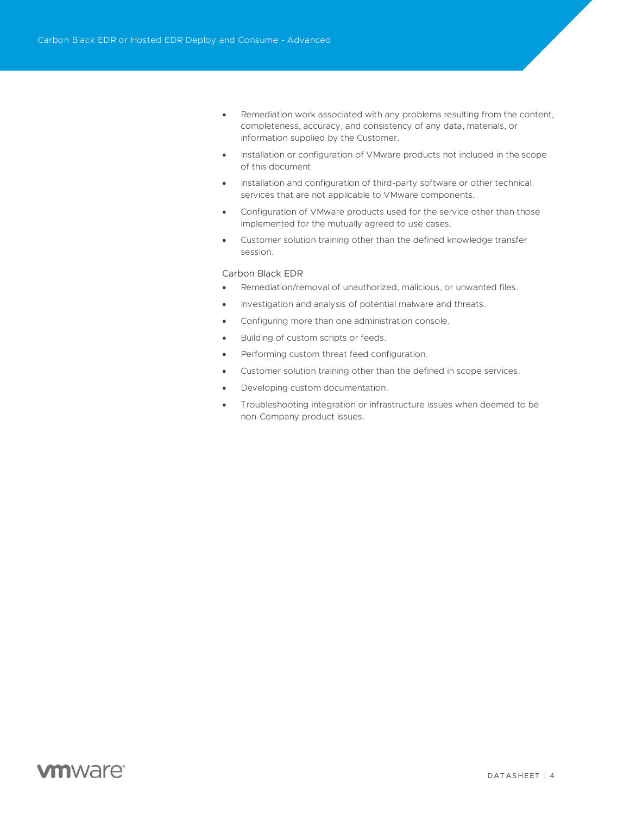- Remediation work associated with any problems resulting from the content, completeness, accuracy, and consistency of any data, materials, or information supplied by the Customer.
- Installation or configuration of VMware products not included in the scope of this document.
- Installation and configuration of third-party software or other technical services that are not applicable to VMware components.
- Configuration of VMware products used for the service other than those implemented for the mutually agreed to use cases.
- Customer solution training other than the defined knowledge transfer session.

#### Carbon Black EDR

- Remediation/removal of unauthorized, malicious, or unwanted files.
- Investigation and analysis of potential malware and threats.
- Configuring more than one administration console.
- Building of custom scripts or feeds.
- Performing custom threat feed configuration.
- Customer solution training other than the defined in scope services.
- Developing custom documentation.
- Troubleshooting integration or infrastructure issues when deemed to be non-Company product issues.

# **vm**ware<sup>®</sup>